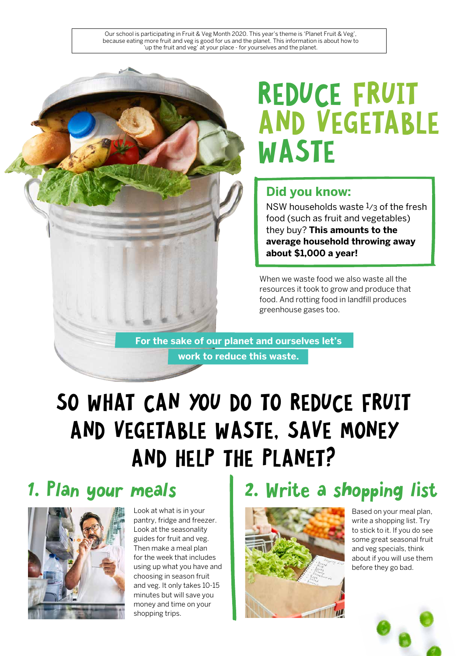Our school is participating in Fruit & Veg Month 2020. This year's theme is 'Planet Fruit & Veg', because eating more fruit and veg is good for us and the planet. This information is about how to 'up the fruit and veg' at your place - for yourselves and the planet.

# REDUCE FRUIT AND VEGETABLE WASTE

#### **Did you know:**

NSW households waste 1/3 of the fresh food (such as fruit and vegetables) they buy? **This amounts to the average household throwing away about \$1,000 a year!**

When we waste food we also waste all the resources it took to grow and produce that food. And rotting food in landfill produces greenhouse gases too.

**For the sake of our planet and ourselves let's work to reduce this waste.** 

# SO WHAT CAN YOU DO TO REDUCE FRUIT AND VEGETABLE WASTE, SAVE MONEY AND HELP THE PLANET?



Look at what is in your pantry, fridge and freezer. Look at the seasonality guides for fruit and veg. Then make a meal plan for the week that includes using up what you have and choosing in season fruit and veg. It only takes 10-15 minutes but will save you money and time on your shopping trips.

## 1. Plan your meals | 2. Write a shopping list



Based on your meal plan, write a shopping list. Try to stick to it. If you do see some great seasonal fruit and veg specials, think about if you will use them before they go bad.